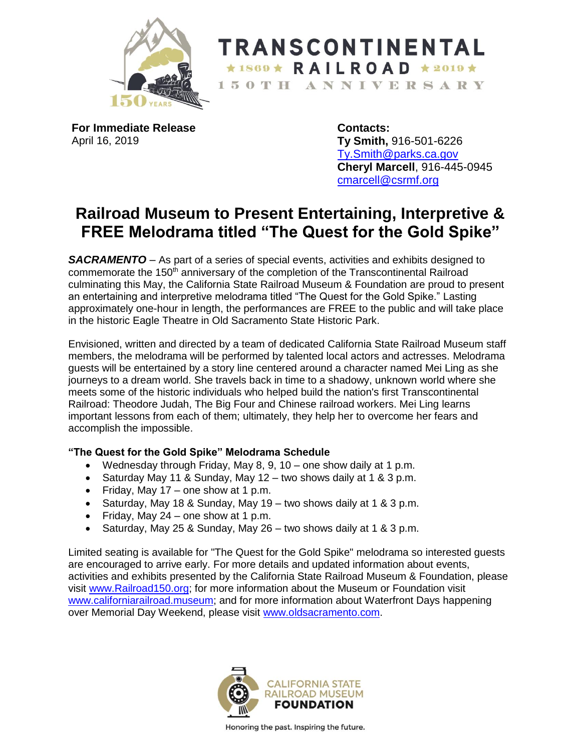

**TRANSCONTINENTAL**  $\star$ 1869  $\star$  RAILROAD  $\star$ 2019  $\star$ 150TH ANNIVERSARY

**For Immediate Release** April 16, 2019

**Contacts: Ty Smith,** 916-501-6226 [Ty.Smith@parks.ca.gov](mailto:Ty.Smith@parks.ca.gov) **Cheryl Marcell**, 916-445-0945 [cmarcell@csrmf.org](mailto:cmarcell@csrmf.org)

## **Railroad Museum to Present Entertaining, Interpretive & FREE Melodrama titled "The Quest for the Gold Spike"**

*SACRAMENTO* – As part of a series of special events, activities and exhibits designed to commemorate the 150<sup>th</sup> anniversary of the completion of the Transcontinental Railroad culminating this May, the California State Railroad Museum & Foundation are proud to present an entertaining and interpretive melodrama titled "The Quest for the Gold Spike." Lasting approximately one-hour in length, the performances are FREE to the public and will take place in the historic Eagle Theatre in Old Sacramento State Historic Park.

Envisioned, written and directed by a team of dedicated California State Railroad Museum staff members, the melodrama will be performed by talented local actors and actresses. Melodrama guests will be entertained by a story line centered around a character named Mei Ling as she journeys to a dream world. She travels back in time to a shadowy, unknown world where she meets some of the historic individuals who helped build the nation's first Transcontinental Railroad: Theodore Judah, The Big Four and Chinese railroad workers. Mei Ling learns important lessons from each of them; ultimately, they help her to overcome her fears and accomplish the impossible.

## **"The Quest for the Gold Spike" Melodrama Schedule**

- Wednesday through Friday, May 8, 9, 10 one show daily at 1 p.m.
- Saturday May 11 & Sunday, May 12 two shows daily at 1 & 3 p.m.
- Friday, May  $17$  one show at 1 p.m.
- Saturday, May 18 & Sunday, May 19 two shows daily at 1 & 3 p.m.
- Friday, May  $24$  one show at 1 p.m.
- Saturday, May 25 & Sunday, May 26 two shows daily at 1 & 3 p.m.

Limited seating is available for "The Quest for the Gold Spike" melodrama so interested guests are encouraged to arrive early. For more details and updated information about events, activities and exhibits presented by the California State Railroad Museum & Foundation, please visit [www.Railroad150.org;](http://www.railroad150.org/) for more information about the Museum or Foundation visit [www.californiarailroad.museum;](http://www.californiarailroad.museum/) and for more information about Waterfront Days happening over Memorial Day Weekend, please visit [www.oldsacramento.com.](http://www.oldsacramento.com/)



Honoring the past. Inspiring the future.